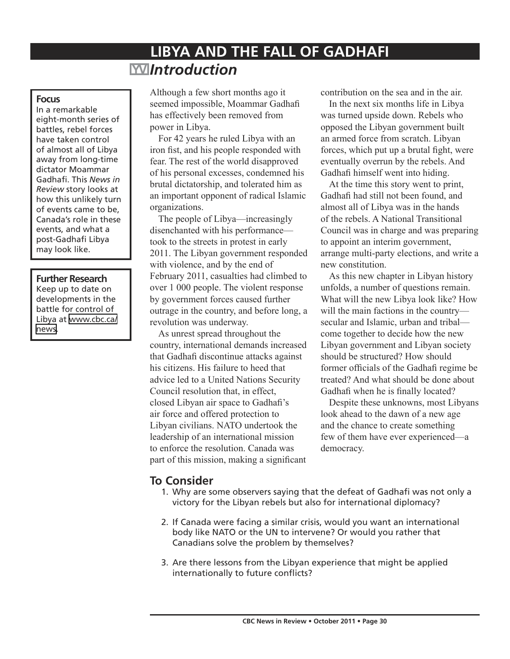# **LIBYA AND THE FALL OF GADHAFI**  *Introduction*

#### **Focus**

In a remarkable eight-month series of battles, rebel forces have taken control of almost all of Libya away from long-time dictator Moammar Gadhafi. This *News in Review* story looks at how this unlikely turn of events came to be, Canada's role in these events, and what a post-Gadhafi Libya may look like.

#### **Further Research**

Keep up to date on developments in the battle for control of Libya at [www.cbc.ca/](http://www.cbc.ca/news) [news](http://www.cbc.ca/news).

Although a few short months ago it seemed impossible, Moammar Gadhafi has effectively been removed from power in Libya.

For 42 years he ruled Libya with an iron fist, and his people responded with fear. The rest of the world disapproved of his personal excesses, condemned his brutal dictatorship, and tolerated him as an important opponent of radical Islamic organizations.

The people of Libya—increasingly disenchanted with his performance took to the streets in protest in early 2011. The Libyan government responded with violence, and by the end of February 2011, casualties had climbed to over 1 000 people. The violent response by government forces caused further outrage in the country, and before long, a revolution was underway.

As unrest spread throughout the country, international demands increased that Gadhafi discontinue attacks against his citizens. His failure to heed that advice led to a United Nations Security Council resolution that, in effect, closed Libyan air space to Gadhafi's air force and offered protection to Libyan civilians. NATO undertook the leadership of an international mission to enforce the resolution. Canada was part of this mission, making a significant contribution on the sea and in the air.

In the next six months life in Libya was turned upside down. Rebels who opposed the Libyan government built an armed force from scratch. Libyan forces, which put up a brutal fight, were eventually overrun by the rebels. And Gadhafi himself went into hiding.

At the time this story went to print, Gadhafi had still not been found, and almost all of Libya was in the hands of the rebels. A National Transitional Council was in charge and was preparing to appoint an interim government, arrange multi-party elections, and write a new constitution.

As this new chapter in Libyan history unfolds, a number of questions remain. What will the new Libya look like? How will the main factions in the country secular and Islamic, urban and tribal come together to decide how the new Libyan government and Libyan society should be structured? How should former officials of the Gadhafi regime be treated? And what should be done about Gadhafi when he is finally located?

Despite these unknowns, most Libyans look ahead to the dawn of a new age and the chance to create something few of them have ever experienced—a democracy.

# **To Consider**

- 1. Why are some observers saying that the defeat of Gadhafi was not only a victory for the Libyan rebels but also for international diplomacy?
- 2. If Canada were facing a similar crisis, would you want an international body like NATO or the UN to intervene? Or would you rather that Canadians solve the problem by themselves?
- 3. Are there lessons from the Libyan experience that might be applied internationally to future conflicts?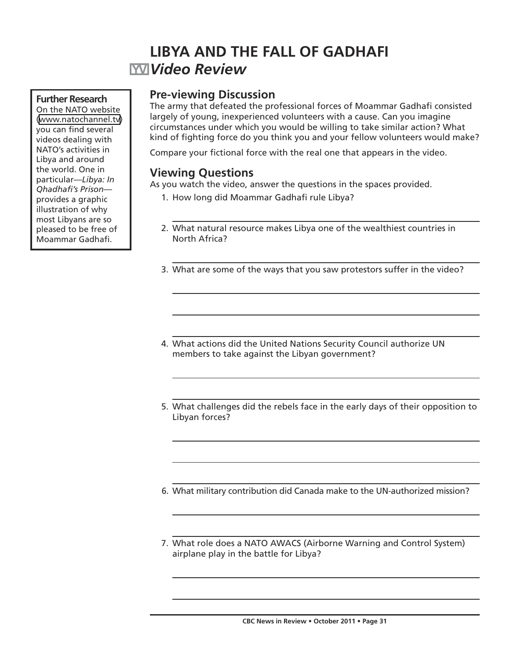# **LIBYA AND THE FALL OF GADHAFI** *Video Review*

### **Further Research**

On the NATO website ([www.natochannel.tv](http://www.natochannel.tv)) you can find several videos dealing with NATO's activities in Libya and around the world. One in particular—*Libya: In Qhadhafi's Prison* provides a graphic illustration of why most Libyans are so pleased to be free of Moammar Gadhafi.

# **Pre-viewing Discussion**

The army that defeated the professional forces of Moammar Gadhafi consisted largely of young, inexperienced volunteers with a cause. Can you imagine circumstances under which you would be willing to take similar action? What kind of fighting force do you think you and your fellow volunteers would make?

Compare your fictional force with the real one that appears in the video.

# **Viewing Questions**

As you watch the video, answer the questions in the spaces provided.

- 1. How long did Moammar Gadhafi rule Libya?
- 2. What natural resource makes Libya one of the wealthiest countries in North Africa?
- 3. What are some of the ways that you saw protestors suffer in the video?
- 4. What actions did the United Nations Security Council authorize UN members to take against the Libyan government?
- 5. What challenges did the rebels face in the early days of their opposition to Libyan forces?
- 6. What military contribution did Canada make to the UN-authorized mission?
- 7. What role does a NATO AWACS (Airborne Warning and Control System) airplane play in the battle for Libya?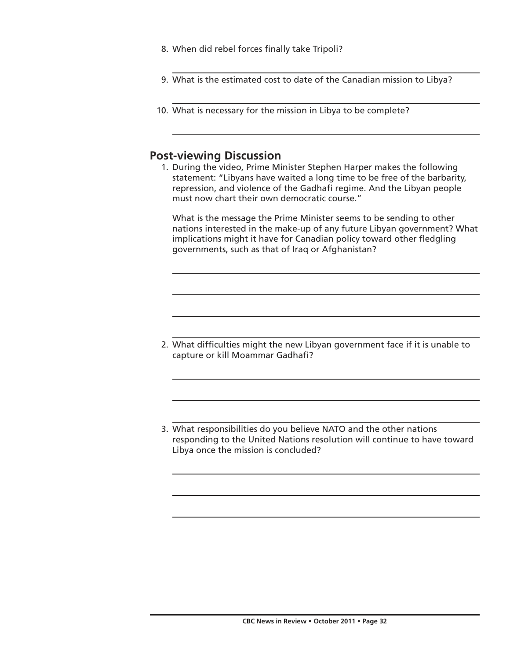- 8. When did rebel forces finally take Tripoli?
- 9. What is the estimated cost to date of the Canadian mission to Libya?
- 10. What is necessary for the mission in Libya to be complete?

## **Post-viewing Discussion**

 1. During the video, Prime Minister Stephen Harper makes the following statement: "Libyans have waited a long time to be free of the barbarity, repression, and violence of the Gadhafi regime. And the Libyan people must now chart their own democratic course."

 What is the message the Prime Minister seems to be sending to other nations interested in the make-up of any future Libyan government? What implications might it have for Canadian policy toward other fledgling governments, such as that of Iraq or Afghanistan?

- 2. What difficulties might the new Libyan government face if it is unable to capture or kill Moammar Gadhafi?
- 3. What responsibilities do you believe NATO and the other nations responding to the United Nations resolution will continue to have toward Libya once the mission is concluded?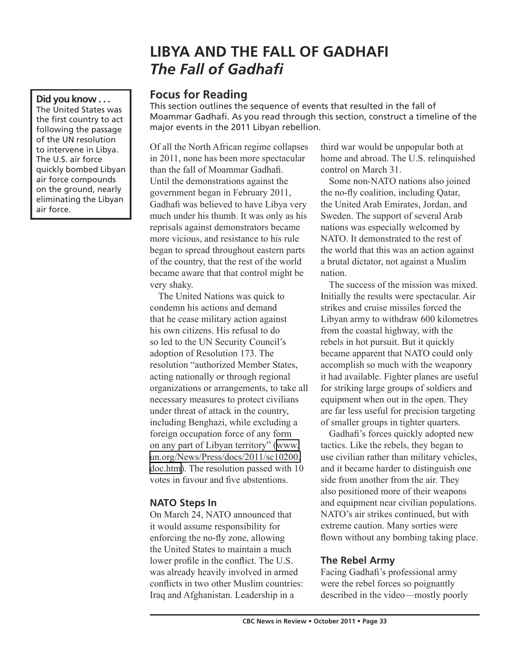# **LIBYA AND THE FALL OF GADHAFI** *The Fall of Gadhafi*

# **Focus for Reading**

This section outlines the sequence of events that resulted in the fall of Moammar Gadhafi. As you read through this section, construct a timeline of the major events in the 2011 Libyan rebellion.

Of all the North African regime collapses in 2011, none has been more spectacular than the fall of Moammar Gadhafi. Until the demonstrations against the government began in February 2011, Gadhafi was believed to have Libya very much under his thumb. It was only as his reprisals against demonstrators became more vicious, and resistance to his rule began to spread throughout eastern parts of the country, that the rest of the world became aware that that control might be very shaky.

The United Nations was quick to condemn his actions and demand that he cease military action against his own citizens. His refusal to do so led to the UN Security Council's adoption of Resolution 173. The resolution "authorized Member States, acting nationally or through regional organizations or arrangements, to take all necessary measures to protect civilians under threat of attack in the country, including Benghazi, while excluding a foreign occupation force of any form on any part of Libyan territory" [\(www.](http://www.un.org/News/Press/docs/2011/sc10200.doc.htm) [un.org/News/Press/docs/2011/sc10200.](http://www.un.org/News/Press/docs/2011/sc10200.doc.htm) [doc.htm](http://www.un.org/News/Press/docs/2011/sc10200.doc.htm)). The resolution passed with 10 votes in favour and five abstentions.

# **NATO Steps In**

On March 24, NATO announced that it would assume responsibility for enforcing the no-fly zone, allowing the United States to maintain a much lower profile in the conflict. The U.S. was already heavily involved in armed conflicts in two other Muslim countries: Iraq and Afghanistan. Leadership in a

third war would be unpopular both at home and abroad. The U.S. relinquished control on March 31.

Some non-NATO nations also joined the no-fly coalition, including Qatar, the United Arab Emirates, Jordan, and Sweden. The support of several Arab nations was especially welcomed by NATO. It demonstrated to the rest of the world that this was an action against a brutal dictator, not against a Muslim nation.

The success of the mission was mixed. Initially the results were spectacular. Air strikes and cruise missiles forced the Libyan army to withdraw 600 kilometres from the coastal highway, with the rebels in hot pursuit. But it quickly became apparent that NATO could only accomplish so much with the weaponry it had available. Fighter planes are useful for striking large groups of soldiers and equipment when out in the open. They are far less useful for precision targeting of smaller groups in tighter quarters.

Gadhafi's forces quickly adopted new tactics. Like the rebels, they began to use civilian rather than military vehicles, and it became harder to distinguish one side from another from the air. They also positioned more of their weapons and equipment near civilian populations. NATO's air strikes continued, but with extreme caution. Many sorties were flown without any bombing taking place.

# **The Rebel Army**

Facing Gadhafi's professional army were the rebel forces so poignantly described in the video—mostly poorly

**Did you know . . .**  The United States was the first country to act following the passage of the UN resolution to intervene in Libya. The U.S. air force quickly bombed Libyan air force compounds on the ground, nearly eliminating the Libyan air force.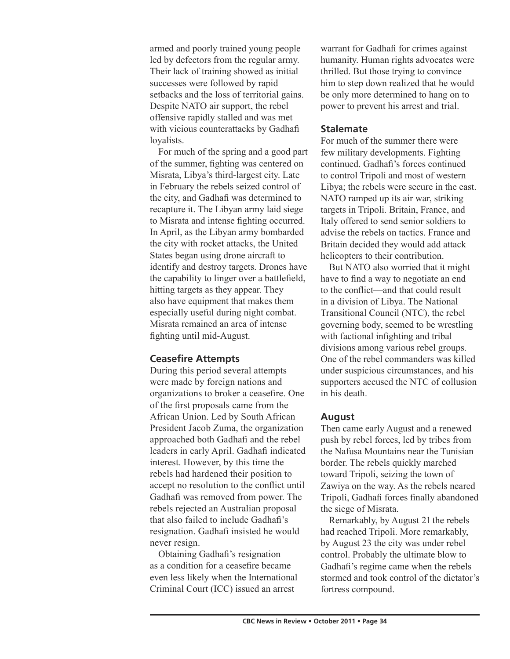armed and poorly trained young people led by defectors from the regular army. Their lack of training showed as initial successes were followed by rapid setbacks and the loss of territorial gains. Despite NATO air support, the rebel offensive rapidly stalled and was met with vicious counterattacks by Gadhafi loyalists.

For much of the spring and a good part of the summer, fighting was centered on Misrata, Libya's third-largest city. Late in February the rebels seized control of the city, and Gadhafi was determined to recapture it. The Libyan army laid siege to Misrata and intense fighting occurred. In April, as the Libyan army bombarded the city with rocket attacks, the United States began using drone aircraft to identify and destroy targets. Drones have the capability to linger over a battlefield, hitting targets as they appear. They also have equipment that makes them especially useful during night combat. Misrata remained an area of intense fighting until mid-August.

### **Ceasefire Attempts**

During this period several attempts were made by foreign nations and organizations to broker a ceasefire. One of the first proposals came from the African Union. Led by South African President Jacob Zuma, the organization approached both Gadhafi and the rebel leaders in early April. Gadhafi indicated interest. However, by this time the rebels had hardened their position to accept no resolution to the conflict until Gadhafi was removed from power. The rebels rejected an Australian proposal that also failed to include Gadhafi's resignation. Gadhafi insisted he would never resign.

Obtaining Gadhafi's resignation as a condition for a ceasefire became even less likely when the International Criminal Court (ICC) issued an arrest

warrant for Gadhafi for crimes against humanity. Human rights advocates were thrilled. But those trying to convince him to step down realized that he would be only more determined to hang on to power to prevent his arrest and trial.

## **Stalemate**

For much of the summer there were few military developments. Fighting continued. Gadhafi's forces continued to control Tripoli and most of western Libya; the rebels were secure in the east. NATO ramped up its air war, striking targets in Tripoli. Britain, France, and Italy offered to send senior soldiers to advise the rebels on tactics. France and Britain decided they would add attack helicopters to their contribution.

But NATO also worried that it might have to find a way to negotiate an end to the conflict—and that could result in a division of Libya. The National Transitional Council (NTC), the rebel governing body, seemed to be wrestling with factional infighting and tribal divisions among various rebel groups. One of the rebel commanders was killed under suspicious circumstances, and his supporters accused the NTC of collusion in his death.

### **August**

Then came early August and a renewed push by rebel forces, led by tribes from the Nafusa Mountains near the Tunisian border. The rebels quickly marched toward Tripoli, seizing the town of Zawiya on the way. As the rebels neared Tripoli, Gadhafi forces finally abandoned the siege of Misrata.

Remarkably, by August 21 the rebels had reached Tripoli. More remarkably, by August 23 the city was under rebel control. Probably the ultimate blow to Gadhafi's regime came when the rebels stormed and took control of the dictator's fortress compound.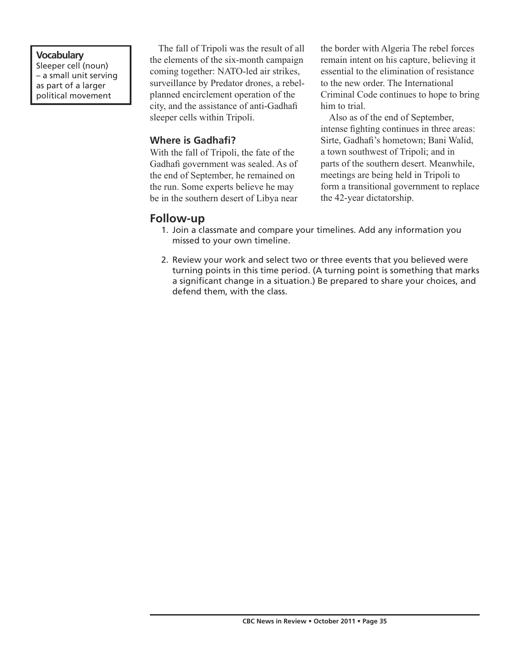## **Vocabulary**

Sleeper cell (noun) – a small unit serving as part of a larger political movement

The fall of Tripoli was the result of all the elements of the six-month campaign coming together: NATO-led air strikes, surveillance by Predator drones, a rebelplanned encirclement operation of the city, and the assistance of anti-Gadhafi sleeper cells within Tripoli.

## **Where is Gadhafi?**

With the fall of Tripoli, the fate of the Gadhafi government was sealed. As of the end of September, he remained on the run. Some experts believe he may be in the southern desert of Libya near

the border with Algeria The rebel forces remain intent on his capture, believing it essential to the elimination of resistance to the new order. The International Criminal Code continues to hope to bring him to trial.

Also as of the end of September, intense fighting continues in three areas: Sirte, Gadhafi's hometown; Bani Walid, a town southwest of Tripoli; and in parts of the southern desert. Meanwhile, meetings are being held in Tripoli to form a transitional government to replace the 42-year dictatorship.

## **Follow-up**

- 1. Join a classmate and compare your timelines. Add any information you missed to your own timeline.
- 2. Review your work and select two or three events that you believed were turning points in this time period. (A turning point is something that marks a significant change in a situation.) Be prepared to share your choices, and defend them, with the class.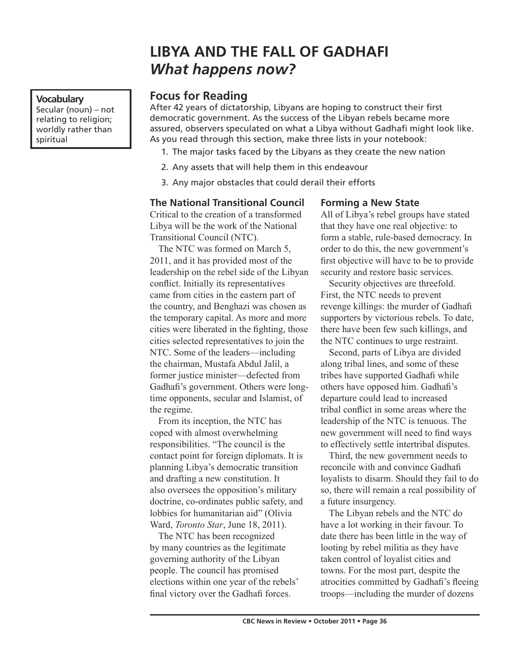# **LIBYA AND THE FALL OF GADHAFI** *What happens now?*

# **Focus for Reading**

After 42 years of dictatorship, Libyans are hoping to construct their first democratic government. As the success of the Libyan rebels became more assured, observers speculated on what a Libya without Gadhafi might look like. As you read through this section, make three lists in your notebook:

- 1. The major tasks faced by the Libyans as they create the new nation
- 2. Any assets that will help them in this endeavour
- 3. Any major obstacles that could derail their efforts

# **The National Transitional Council**

Critical to the creation of a transformed Libya will be the work of the National Transitional Council (NTC).

The NTC was formed on March 5, 2011, and it has provided most of the leadership on the rebel side of the Libyan conflict. Initially its representatives came from cities in the eastern part of the country, and Benghazi was chosen as the temporary capital. As more and more cities were liberated in the fighting, those cities selected representatives to join the NTC. Some of the leaders—including the chairman, Mustafa Abdul Jalil, a former justice minister—defected from Gadhafi's government. Others were longtime opponents, secular and Islamist, of the regime.

From its inception, the NTC has coped with almost overwhelming responsibilities. "The council is the contact point for foreign diplomats. It is planning Libya's democratic transition and drafting a new constitution. It also oversees the opposition's military doctrine, co-ordinates public safety, and lobbies for humanitarian aid" (Olivia Ward, *Toronto Star*, June 18, 2011).

The NTC has been recognized by many countries as the legitimate governing authority of the Libyan people. The council has promised elections within one year of the rebels' final victory over the Gadhafi forces.

## **Forming a New State**

All of Libya's rebel groups have stated that they have one real objective: to form a stable, rule-based democracy. In order to do this, the new government's first objective will have to be to provide security and restore basic services.

Security objectives are threefold. First, the NTC needs to prevent revenge killings: the murder of Gadhafi supporters by victorious rebels. To date, there have been few such killings, and the NTC continues to urge restraint.

Second, parts of Libya are divided along tribal lines, and some of these tribes have supported Gadhafi while others have opposed him. Gadhafi's departure could lead to increased tribal conflict in some areas where the leadership of the NTC is tenuous. The new government will need to find ways to effectively settle intertribal disputes.

Third, the new government needs to reconcile with and convince Gadhafi loyalists to disarm. Should they fail to do so, there will remain a real possibility of a future insurgency.

The Libyan rebels and the NTC do have a lot working in their favour. To date there has been little in the way of looting by rebel militia as they have taken control of loyalist cities and towns. For the most part, despite the atrocities committed by Gadhafi's fleeing troops—including the murder of dozens

**Vocabulary** Secular (noun) – not relating to religion; worldly rather than spiritual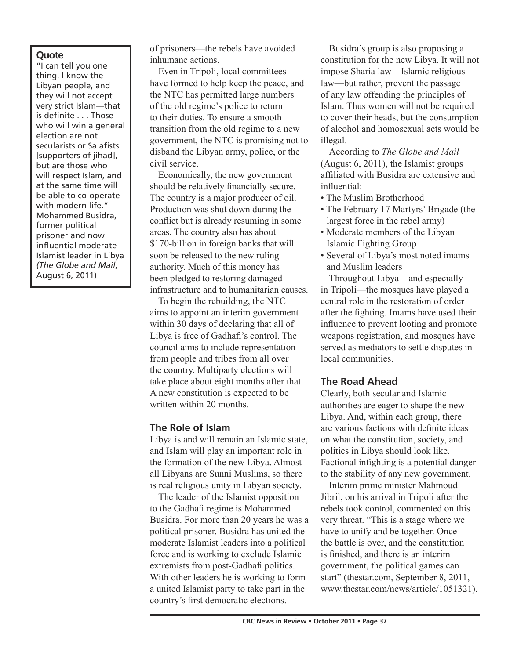#### **Quote**

"I can tell you one thing. I know the Libyan people, and they will not accept very strict Islam—that is definite . . . Those who will win a general election are not secularists or Salafists [supporters of jihad], but are those who will respect Islam, and at the same time will be able to co-operate with modern life." — Mohammed Busidra, former political prisoner and now influential moderate Islamist leader in Libya *(The Globe and Mail*, August 6, 2011)

of prisoners—the rebels have avoided inhumane actions.

Even in Tripoli, local committees have formed to help keep the peace, and the NTC has permitted large numbers of the old regime's police to return to their duties. To ensure a smooth transition from the old regime to a new government, the NTC is promising not to disband the Libyan army, police, or the civil service.

Economically, the new government should be relatively financially secure. The country is a major producer of oil. Production was shut down during the conflict but is already resuming in some areas. The country also has about \$170-billion in foreign banks that will soon be released to the new ruling authority. Much of this money has been pledged to restoring damaged infrastructure and to humanitarian causes.

To begin the rebuilding, the NTC aims to appoint an interim government within 30 days of declaring that all of Libya is free of Gadhafi's control. The council aims to include representation from people and tribes from all over the country. Multiparty elections will take place about eight months after that. A new constitution is expected to be written within 20 months.

### **The Role of Islam**

Libya is and will remain an Islamic state, and Islam will play an important role in the formation of the new Libya. Almost all Libyans are Sunni Muslims, so there is real religious unity in Libyan society.

The leader of the Islamist opposition to the Gadhafi regime is Mohammed Busidra. For more than 20 years he was a political prisoner. Busidra has united the moderate Islamist leaders into a political force and is working to exclude Islamic extremists from post-Gadhafi politics. With other leaders he is working to form a united Islamist party to take part in the country's first democratic elections.

Busidra's group is also proposing a constitution for the new Libya. It will not impose Sharia law—Islamic religious law—but rather, prevent the passage of any law offending the principles of Islam. Thus women will not be required to cover their heads, but the consumption of alcohol and homosexual acts would be illegal.

According to *The Globe and Mail* (August 6, 2011), the Islamist groups affiliated with Busidra are extensive and influential:

- The Muslim Brotherhood
- The February 17 Martyrs' Brigade (the largest force in the rebel army)
- Moderate members of the Libyan Islamic Fighting Group
- Several of Libya's most noted imams and Muslim leaders

Throughout Libya—and especially in Tripoli—the mosques have played a central role in the restoration of order after the fighting. Imams have used their influence to prevent looting and promote weapons registration, and mosques have served as mediators to settle disputes in local communities.

### **The Road Ahead**

Clearly, both secular and Islamic authorities are eager to shape the new Libya. And, within each group, there are various factions with definite ideas on what the constitution, society, and politics in Libya should look like. Factional infighting is a potential danger to the stability of any new government.

Interim prime minister Mahmoud Jibril, on his arrival in Tripoli after the rebels took control, commented on this very threat. "This is a stage where we have to unify and be together. Once the battle is over, and the constitution is finished, and there is an interim government, the political games can start" (thestar.com, September 8, 2011, www.thestar.com/news/article/1051321).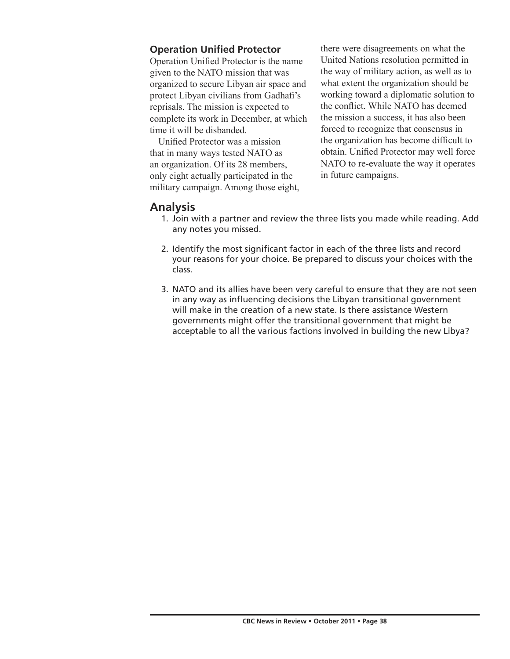## **Operation Unified Protector**

Operation Unified Protector is the name given to the NATO mission that was organized to secure Libyan air space and protect Libyan civilians from Gadhafi's reprisals. The mission is expected to complete its work in December, at which time it will be disbanded.

Unified Protector was a mission that in many ways tested NATO as an organization. Of its 28 members, only eight actually participated in the military campaign. Among those eight, there were disagreements on what the United Nations resolution permitted in the way of military action, as well as to what extent the organization should be working toward a diplomatic solution to the conflict. While NATO has deemed the mission a success, it has also been forced to recognize that consensus in the organization has become difficult to obtain. Unified Protector may well force NATO to re-evaluate the way it operates in future campaigns.

# **Analysis**

- 1. Join with a partner and review the three lists you made while reading. Add any notes you missed.
- 2. Identify the most significant factor in each of the three lists and record your reasons for your choice. Be prepared to discuss your choices with the class.
- 3. NATO and its allies have been very careful to ensure that they are not seen in any way as influencing decisions the Libyan transitional government will make in the creation of a new state. Is there assistance Western governments might offer the transitional government that might be acceptable to all the various factions involved in building the new Libya?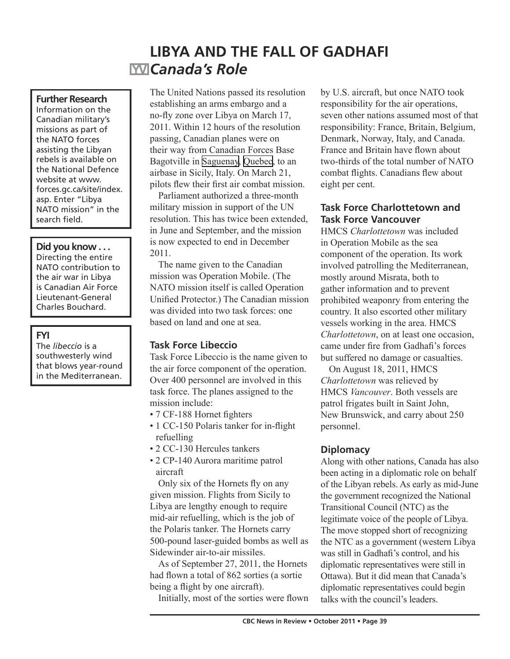# **LIBYA AND THE FALL OF GADHAFI** *Canada's Role*

### **Further Research**

Information on the Canadian military's missions as part of the NATO forces assisting the Libyan rebels is available on the National Defence website at www. forces.gc.ca/site/index. asp. Enter "Libya NATO mission" in the search field.

#### **Did you know . . .**

Directing the entire NATO contribution to the air war in Libya is Canadian Air Force Lieutenant-General Charles Bouchard.

### **FYI**

The *libeccio* is a southwesterly wind that blows year-round in the Mediterranean.

The United Nations passed its resolution establishing an arms embargo and a no-fly zone over Libya on March 17, 2011. Within 12 hours of the resolution passing, Canadian planes were on their way from Canadian Forces Base Bagotville in [Saguenay,](http://en.wikipedia.org/wiki/Saguenay,_Quebec) [Quebec](http://en.wikipedia.org/wiki/Quebec), to an airbase in Sicily, Italy. On March 21, pilots flew their first air combat mission.

Parliament authorized a three-month military mission in support of the UN resolution. This has twice been extended, in June and September, and the mission is now expected to end in December 2011.

The name given to the Canadian mission was Operation Mobile. (The NATO mission itself is called Operation Unified Protector.) The Canadian mission was divided into two task forces: one based on land and one at sea.

## **Task Force Libeccio**

Task Force Libeccio is the name given to the air force component of the operation. Over 400 personnel are involved in this task force. The planes assigned to the mission include:

- 7 CF-188 Hornet fighters
- 1 CC-150 Polaris tanker for in-flight refuelling
- 2 CC-130 Hercules tankers
- 2 CP-140 Aurora maritime patrol aircraft

Only six of the Hornets fly on any given mission. Flights from Sicily to Libya are lengthy enough to require mid-air refuelling, which is the job of the Polaris tanker. The Hornets carry 500-pound laser-guided bombs as well as Sidewinder air-to-air missiles.

As of September 27, 2011, the Hornets had flown a total of 862 sorties (a sortie being a flight by one aircraft).

Initially, most of the sorties were flown

by U.S. aircraft, but once NATO took responsibility for the air operations, seven other nations assumed most of that responsibility: France, Britain, Belgium, Denmark, Norway, Italy, and Canada. France and Britain have flown about two-thirds of the total number of NATO combat flights. Canadians flew about eight per cent.

## **Task Force Charlottetown and Task Force Vancouver**

HMCS *Charlottetown* was included in Operation Mobile as the sea component of the operation. Its work involved patrolling the Mediterranean, mostly around Misrata, both to gather information and to prevent prohibited weaponry from entering the country. It also escorted other military vessels working in the area. HMCS *Charlottetown*, on at least one occasion, came under fire from Gadhafi's forces but suffered no damage or casualties.

On August 18, 2011, HMCS *Charlottetown* was relieved by HMCS *Vancouver*. Both vessels are patrol frigates built in Saint John, New Brunswick, and carry about 250 personnel.

## **Diplomacy**

Along with other nations, Canada has also been acting in a diplomatic role on behalf of the Libyan rebels. As early as mid-June the government recognized the National Transitional Council (NTC) as the legitimate voice of the people of Libya. The move stopped short of recognizing the NTC as a government (western Libya was still in Gadhafi's control, and his diplomatic representatives were still in Ottawa). But it did mean that Canada's diplomatic representatives could begin talks with the council's leaders.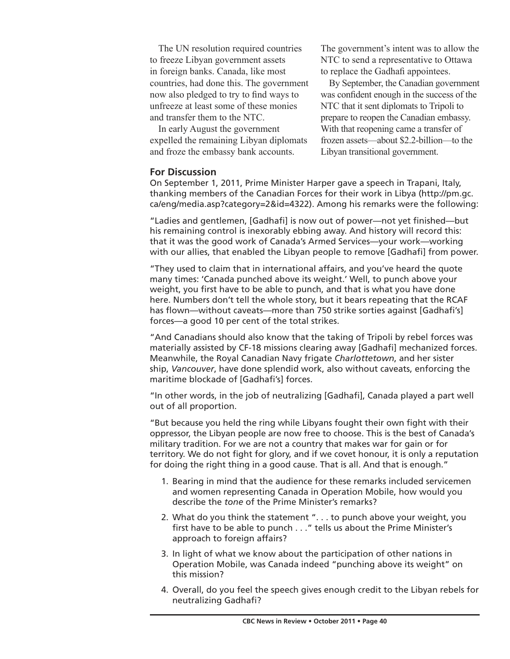The UN resolution required countries to freeze Libyan government assets in foreign banks. Canada, like most countries, had done this. The government now also pledged to try to find ways to unfreeze at least some of these monies and transfer them to the NTC.

In early August the government expelled the remaining Libyan diplomats and froze the embassy bank accounts.

The government's intent was to allow the NTC to send a representative to Ottawa to replace the Gadhafi appointees.

By September, the Canadian government was confident enough in the success of the NTC that it sent diplomats to Tripoli to prepare to reopen the Canadian embassy. With that reopening came a transfer of frozen assets—about \$2.2-billion—to the Libyan transitional government.

### **For Discussion**

On September 1, 2011, Prime Minister Harper gave a speech in Trapani, Italy, thanking members of the Canadian Forces for their work in Libya (http://pm.gc. ca/eng/media.asp?category=2&id=4322). Among his remarks were the following:

"Ladies and gentlemen, [Gadhafi] is now out of power—not yet finished—but his remaining control is inexorably ebbing away. And history will record this: that it was the good work of Canada's Armed Services—your work—working with our allies, that enabled the Libyan people to remove [Gadhafi] from power.

"They used to claim that in international affairs, and you've heard the quote many times: 'Canada punched above its weight.' Well, to punch above your weight, you first have to be able to punch, and that is what you have done here. Numbers don't tell the whole story, but it bears repeating that the RCAF has flown—without caveats—more than 750 strike sorties against [Gadhafi's] forces—a good 10 per cent of the total strikes.

"And Canadians should also know that the taking of Tripoli by rebel forces was materially assisted by CF-18 missions clearing away [Gadhafi] mechanized forces. Meanwhile, the Royal Canadian Navy frigate *Charlottetown*, and her sister ship, *Vancouver*, have done splendid work, also without caveats, enforcing the maritime blockade of [Gadhafi's] forces.

"In other words, in the job of neutralizing [Gadhafi], Canada played a part well out of all proportion.

"But because you held the ring while Libyans fought their own fight with their oppressor, the Libyan people are now free to choose. This is the best of Canada's military tradition. For we are not a country that makes war for gain or for territory. We do not fight for glory, and if we covet honour, it is only a reputation for doing the right thing in a good cause. That is all. And that is enough."

- 1. Bearing in mind that the audience for these remarks included servicemen and women representing Canada in Operation Mobile, how would you describe the *tone* of the Prime Minister's remarks?
- 2. What do you think the statement ". . . to punch above your weight, you first have to be able to punch . . ." tells us about the Prime Minister's approach to foreign affairs?
- 3. In light of what we know about the participation of other nations in Operation Mobile, was Canada indeed "punching above its weight" on this mission?
- 4. Overall, do you feel the speech gives enough credit to the Libyan rebels for neutralizing Gadhafi?